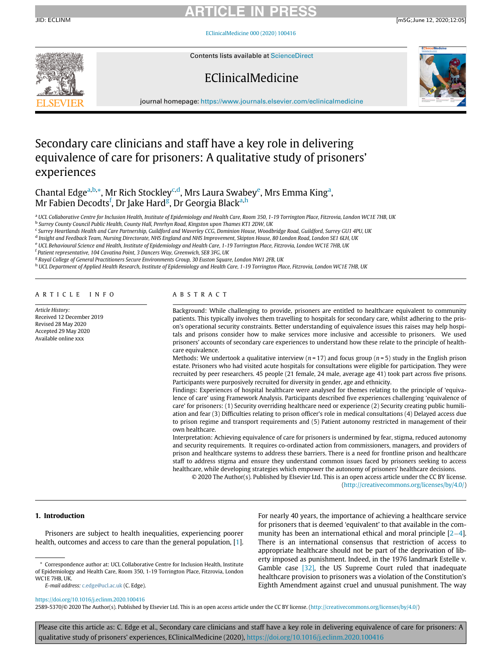JID: ECLINM [m5G;June 12, 2020;12:05]

[EClinicalMedicine 000 \(2020\) 100416](https://doi.org/10.1016/j.eclinm.2020.100416)



Contents lists available at [ScienceDirect](http://www.ScienceDirect.com)

## EClinicalMedicine



journal homepage: [https://www.journals.elsevier.com/eclinicalmedicine](http://https://www.journals.elsevier.com/eclinicalmedicine)

## Secondary care clinicians and staff have a key role in delivering equivalence of care for prisoners: A qualitative study of prisoners' experiences

Ch[a](#page-0-0)ntal Edge<sup>a[,b,](#page-0-1)</sup>[\\*,](#page-0-2) Mr Rich Stockley<sup>[c,](#page-0-3)[d](#page-0-4)</sup>, Mrs Laura Swab[e](#page-0-5)y<sup>e</sup>, Mrs Emma King<sup>a</sup>, Mr Fabien Decodts<sup>[f](#page-0-6)</sup>, Dr Jake Hard<sup>[g](#page-0-7)</sup>, Dr Georgia Black<sup>[a,](#page-0-0)[h](#page-0-8)</sup>

<span id="page-0-0"></span>a UCL Collaborative Centre for Inclusion Health, Institute of Epidemiology and Health Care, Room 350, 1-19 Torrington Place, Fitzrovia, London WC1E 7HB, UK

<span id="page-0-1"></span><sup>b</sup> Surrey County Council Public Health, County Hall, Penrhyn Road, Kingston upon Thames KT1 2DW, UK

<span id="page-0-3"></span><sup>c</sup> Surrey Heartlands Health and Care Partnership, Guildford and Waverley CCG, Dominion House, Woodbridge Road, Guildford, Surrey GU1 4PU, UK

<span id="page-0-5"></span><span id="page-0-4"></span><sup>d</sup> Insight and Feedback Team, Nursing Directorate, NHS England and NHS Improvement, Skipton House, 80 London Road, London SE1 6LH, UK <sup>e</sup> UCL Behavioural Science and Health, Institute of Epidemiology and Health Care, 1-19 Torrington Place, Fitzrovia, London WC1E 7HB, UK

<span id="page-0-6"></span><sup>f</sup> Patient representative, 104 Cavatina Point, 3 Dancers Way, Greenwich, SE8 3FG, UK

<span id="page-0-7"></span><sup>g</sup> Royal College of General Practitioners Secure Environments Group, 30 Euston Square, London NW1 2FB, UK

<span id="page-0-8"></span>h UCL Department of Applied Health Research, Institute of Epidemiology and Health Care, 1-19 Torrington Place, Fitzrovia, London WC1E 7HB, UK

### ARTICLE INFO

Article History: Received 12 December 2019 Revised 28 May 2020 Accepted 29 May 2020 Available online xxx

### ABSTRACT

Background: While challenging to provide, prisoners are entitled to healthcare equivalent to community patients. This typically involves them travelling to hospitals for secondary care, whilst adhering to the prison's operational security constraints. Better understanding of equivalence issues this raises may help hospitals and prisons consider how to make services more inclusive and accessible to prisoners. We used prisoners' accounts of secondary care experiences to understand how these relate to the principle of healthcare equivalence.

Methods: We undertook a qualitative interview ( $n = 17$ ) and focus group ( $n = 5$ ) study in the English prison estate. Prisoners who had visited acute hospitals for consultations were eligible for participation. They were recruited by peer researchers. 45 people (21 female, 24 male, average age 41) took part across five prisons. Participants were purposively recruited for diversity in gender, age and ethnicity.

Findings: Experiences of hospital healthcare were analysed for themes relating to the principle of 'equivalence of care' using Framework Analysis. Participants described five experiences challenging 'equivalence of care' for prisoners: (1) Security overriding healthcare need or experience (2) Security creating public humiliation and fear (3) Difficulties relating to prison officer's role in medical consultations (4) Delayed access due to prison regime and transport requirements and (5) Patient autonomy restricted in management of their own healthcare.

Interpretation: Achieving equivalence of care for prisoners is undermined by fear, stigma, reduced autonomy and security requirements. It requires co-ordinated action from commissioners, managers, and providers of prison and healthcare systems to address these barriers. There is a need for frontline prison and healthcare staff to address stigma and ensure they understand common issues faced by prisoners seeking to access healthcare, while developing strategies which empower the autonomy of prisoners' healthcare decisions.

© 2020 The Author(s). Published by Elsevier Ltd. This is an open access article under the CC BY license. ([http://creativecommons.org/licenses/by/4.0/\)](http://creativecommons.org/licenses/by/4.0/)

### 1. Introduction

Prisoners are subject to health inequalities, experiencing poorer health, outcomes and access to care than the general population, [\[1\]](#page-8-0).

<span id="page-0-2"></span>\* Correspondence author at: UCL Collaborative Centre for Inclusion Health, Institute of Epidemiology and Health Care, Room 350, 1-19 Torrington Place, Fitzrovia, London WC1E 7HB, UK.

E-mail address: [c.edge@ucl.ac.uk](mailto:c.edge@ucl.ac.uk) (C. Edge).

For nearly 40 years, the importance of achieving a healthcare service for prisoners that is deemed 'equivalent' to that available in the community has been an international ethical and moral principle  $[2-4]$  $[2-4]$  $[2-4]$  $[2-4]$ . There is an international consensus that restriction of access to appropriate healthcare should not be part of the deprivation of liberty imposed as punishment. Indeed, in the 1976 landmark Estelle v. Gamble case [\[32\]](#page-8-3), the US Supreme Court ruled that inadequate healthcare provision to prisoners was a violation of the Constitution's Eighth Amendment against cruel and unusual punishment. The way

<https://doi.org/10.1016/j.eclinm.2020.100416>

2589-5370/© 2020 The Author(s). Published by Elsevier Ltd. This is an open access article under the CC BY license. ([http://creativecommons.org/licenses/by/4.0/\)](http://creativecommons.org/licenses/by/4.0/)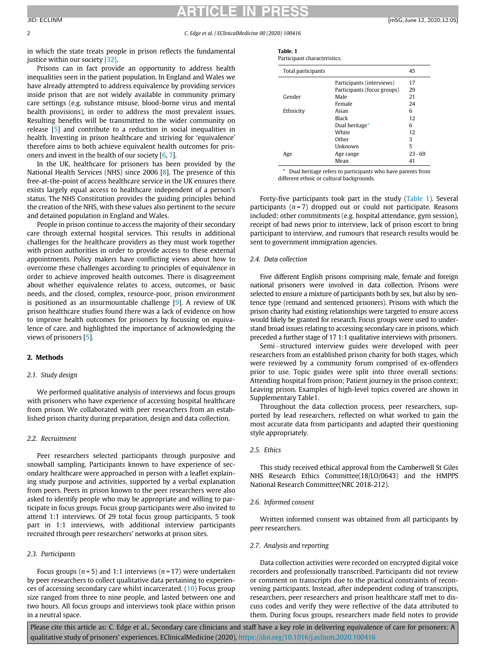<span id="page-1-0"></span>in which the state treats people in prison reflects the fundamental justice within our society [\[32\].](#page-8-3)

Prisons can in fact provide an opportunity to address health inequalities seen in the patient population. In England and Wales we have already attempted to address equivalence by providing services inside prison that are not widely available in community primary care settings (e.g. substance misuse, blood-borne virus and mental health provisions), in order to address the most prevalent issues. Resulting benefits will be transmitted to the wider community on release [\[5\]](#page-8-4) and contribute to a reduction in social inequalities in health. Investing in prison healthcare and striving for 'equivalence' therefore aims to both achieve equivalent health outcomes for prisoners and invest in the health of our society [[6](#page-8-5), [7](#page-8-6)].

<span id="page-1-1"></span>In the UK, healthcare for prisoners has been provided by the National Health Services (NHS) since 2006 [\[8\]](#page-8-7). The presence of this free-at-the-point of access healthcare service in the UK ensures there exists largely equal access to healthcare independent of a person's status. The NHS Constitution provides the guiding principles behind the creation of the NHS, with these values also pertinent to the secure and detained population in England and Wales.

People in prison continue to access the majority of their secondary care through external hospital services. This results in additional challenges for the healthcare providers as they must work together with prison authorities in order to provide access to these external appointments. Policy makers have conflicting views about how to overcome these challenges according to principles of equivalence in order to achieve improved health outcomes. There is disagreement about whether equivalence relates to access, outcomes, or basic needs, and the closed, complex, resource-poor, prison environment is positioned as an insurmountable challenge [\[9](#page-8-8)]. A review of UK prison healthcare studies found there was a lack of evidence on how to improve health outcomes for prisoners by focussing on equivalence of care, and highlighted the importance of acknowledging the views of prisoners [\[5\]](#page-8-4).

### 2. Methods

### 2.1. Study design

We performed qualitative analysis of interviews and focus groups with prisoners who have experience of accessing hospital healthcare from prison. We collaborated with peer researchers from an established prison charity during preparation, design and data collection.

### 2.2. Recruitment

Peer researchers selected participants through purposive and snowball sampling. Participants known to have experience of secondary healthcare were approached in person with a leaflet explaining study purpose and activities, supported by a verbal explanation from peers. Peers in prison known to the peer researchers were also asked to identify people who may be appropriate and willing to participate in focus groups. Focus group participants were also invited to attend 1:1 interviews. Of 29 total focus group participants, 5 took part in 1:1 interviews, with additional interview participants recruited through peer researchers' networks at prison sites.

### 2.3. Participants

Focus groups ( $n = 5$ ) and 1:1 interviews ( $n = 17$ ) were undertaken by peer researchers to collect qualitative data pertaining to experiences of accessing secondary care whilst incarcerated. [\(10\)](#page-8-9) Focus group size ranged from three to nine people, and lasted between one and two hours. All focus groups and interviews took place within prison in a neutral space.

| Table. 1                    |
|-----------------------------|
| Participant characteristics |

| Total participants |                           |  |
|--------------------|---------------------------|--|
|                    | Participants (interviews) |  |

|           | Participants (interviews)<br>Participants (focus groups) | 17<br>29  |
|-----------|----------------------------------------------------------|-----------|
| Gender    | Male                                                     | 21        |
|           | Female                                                   | 24        |
| Ethnicity | Asian                                                    | 6         |
|           | Black                                                    | 12        |
|           | Dual heritage*                                           | 6         |
|           | White                                                    | 12        |
|           | Other                                                    | 3         |
|           | Unknown                                                  | 5         |
| Age       | Age range                                                | $23 - 69$ |
|           | Mean                                                     | 41        |

\* Dual heritage refers to participants who have parents from different ethnic or cultural backgrounds.

Forty-five participants took part in the study ([Table 1](#page-1-0)). Several participants  $(n=7)$  dropped out or could not participate. Reasons included: other commitments (e.g. hospital attendance, gym session), receipt of bad news prior to interview, lack of prison escort to bring participant to interview, and rumours that research results would be sent to government immigration agencies.

### 2.4. Data collection

Five different English prisons comprising male, female and foreign national prisoners were involved in data collection. Prisons were selected to ensure a mixture of participants both by sex, but also by sentence type (remand and sentenced prisoners). Prisons with which the prison charity had existing relationships were targeted to ensure access would likely be granted for research. Focus groups were used to understand broad issues relating to accessing secondary care in prisons, which preceded a further stage of 17 1:1 qualitative interviews with prisoners.

Semi-structured interview guides were developed with peer researchers from an established prison charity for both stages, which were reviewed by a community forum comprised of ex-offenders prior to use. Topic guides were split into three overall sections: Attending hospital from prison; Patient journey in the prison context; Leaving prison. Examples of high-level topics covered are shown in Supplementary Table1.

Throughout the data collection process, peer researchers, supported by lead researchers, reflected on what worked to gain the most accurate data from participants and adapted their questioning style appropriately.

### 2.5. Ethics

This study received ethical approval from the Camberwell St Giles NHS Research Ethics Committee(18/LO/0643) and the HMPPS National Research Committee(NRC 2018-212).

### 2.6. Informed consent

Written informed consent was obtained from all participants by peer researchers.

### 2.7. Analysis and reporting

Data collection activities were recorded on encrypted digital voice recorders and professionally transcribed. Participants did not review or comment on transcripts due to the practical constraints of reconvening participants. Instead, after independent coding of transcripts, researchers, peer researchers and prison healthcare staff met to discuss codes and verify they were reflective of the data attributed to them. During focus groups, researchers made field notes to provide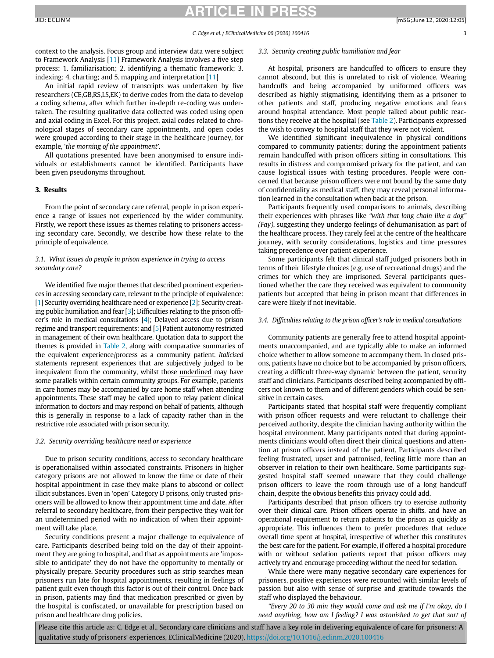## TICLE IN

context to the analysis. Focus group and interview data were subject to Framework Analysis [[11](#page-8-10)] Framework Analysis involves a five step process: 1. familiarisation; 2. identifying a thematic framework; 3. indexing; 4. charting; and 5. mapping and interpretation [[11\]](#page-8-10)

An initial rapid review of transcripts was undertaken by five researchers (CE,GB,RS,LS,EK) to derive codes from the data to develop a coding schema, after which further in-depth re-coding was undertaken. The resulting qualitative data collected was coded using open and axial coding in Excel. For this project, axial codes related to chronological stages of secondary care appointments, and open codes were grouped according to their stage in the healthcare journey, for example, 'the morning of the appointment'.

All quotations presented have been anonymised to ensure individuals or establishments cannot be identified. Participants have been given pseudonyms throughout.

### 3. Results

From the point of secondary care referral, people in prison experience a range of issues not experienced by the wider community. Firstly, we report these issues as themes relating to prisoners accessing secondary care. Secondly, we describe how these relate to the principle of equivalence.

### 3.1. What issues do people in prison experience in trying to access secondary care?

We identified five major themes that described prominent experiences in accessing secondary care, relevant to the principle of equivalence: [\[1\]](#page-8-0) Security overriding healthcare need or experience [[2\]](#page-8-1); Security creating public humiliation and fear  $[3]$  $[3]$  $[3]$ ; Difficulties relating to the prison officer's role in medical consultations [\[4\]](#page-8-2); Delayed access due to prison regime and transport requirements; and [\[5\]](#page-8-4) Patient autonomy restricted in management of their own healthcare. Quotation data to support the themes is provided in [Table 2](#page-3-0), along with comparative summaries of the equivalent experience/process as a community patient. Italicised statements represent experiences that are subjectively judged to be inequivalent from the community, whilst those underlined may have some parallels within certain community groups. For example, patients in care homes may be accompanied by care home staff when attending appointments. These staff may be called upon to relay patient clinical information to doctors and may respond on behalf of patients, although this is generally in response to a lack of capacity rather than in the restrictive role associated with prison security.

### 3.2. Security overriding healthcare need or experience

Due to prison security conditions, access to secondary healthcare is operationalised within associated constraints. Prisoners in higher category prisons are not allowed to know the time or date of their hospital appointment in case they make plans to abscond or collect illicit substances. Even in 'open' Category D prisons, only trusted prisoners will be allowed to know their appointment time and date. After referral to secondary healthcare, from their perspective they wait for an undetermined period with no indication of when their appointment will take place.

Security conditions present a major challenge to equivalence of care. Participants described being told on the day of their appointment they are going to hospital, and that as appointments are 'impossible to anticipate' they do not have the opportunity to mentally or physically prepare. Security procedures such as strip searches mean prisoners run late for hospital appointments, resulting in feelings of patient guilt even though this factor is out of their control. Once back in prison, patients may find that medication prescribed or given by the hospital is confiscated, or unavailable for prescription based on prison and healthcare drug policies.

### 3.3. Security creating public humiliation and fear

At hospital, prisoners are handcuffed to officers to ensure they cannot abscond, but this is unrelated to risk of violence. Wearing handcuffs and being accompanied by uniformed officers was described as highly stigmatising, identifying them as a prisoner to other patients and staff, producing negative emotions and fears around hospital attendance. Most people talked about public reactions they receive at the hospital (see [Table 2](#page-3-0)). Participants expressed the wish to convey to hospital staff that they were not violent.

We identified significant inequivalence in physical conditions compared to community patients; during the appointment patients remain handcuffed with prison officers sitting in consultations. This results in distress and compromised privacy for the patient, and can cause logistical issues with testing procedures. People were concerned that because prison officers were not bound by the same duty of confidentiality as medical staff, they may reveal personal information learned in the consultation when back at the prison.

Participants frequently used comparisons to animals, describing their experiences with phrases like "with that long chain like a dog" (Fay), suggesting they undergo feelings of dehumanisation as part of the healthcare process. They rarely feel at the centre of the healthcare journey, with security considerations, logistics and time pressures taking precedence over patient experience.

Some participants felt that clinical staff judged prisoners both in terms of their lifestyle choices (e.g. use of recreational drugs) and the crimes for which they are imprisoned. Several participants questioned whether the care they received was equivalent to community patients but accepted that being in prison meant that differences in care were likely if not inevitable.

### 3.4. Difficulties relating to the prison officer's role in medical consultations

Community patients are generally free to attend hospital appointments unaccompanied, and are typically able to make an informed choice whether to allow someone to accompany them. In closed prisons, patients have no choice but to be accompanied by prison officers, creating a difficult three-way dynamic between the patient, security staff and clinicians. Participants described being accompanied by officers not known to them and of different genders which could be sensitive in certain cases.

Participants stated that hospital staff were frequently compliant with prison officer requests and were reluctant to challenge their perceived authority, despite the clinician having authority within the hospital environment. Many participants noted that during appointments clinicians would often direct their clinical questions and attention at prison officers instead of the patient. Participants described feeling frustrated, upset and patronised, feeling little more than an observer in relation to their own healthcare. Some participants suggested hospital staff seemed unaware that they could challenge prison officers to leave the room through use of a long handcuff chain, despite the obvious benefits this privacy could add.

Participants described that prison officers try to exercise authority over their clinical care. Prison officers operate in shifts, and have an operational requirement to return patients to the prison as quickly as appropriate. This influences them to prefer procedures that reduce overall time spent at hospital, irrespective of whether this constitutes the best care for the patient. For example, if offered a hospital procedure with or without sedation patients report that prison officers may actively try and encourage proceeding without the need for sedation.

While there were many negative secondary care experiences for prisoners, positive experiences were recounted with similar levels of passion but also with sense of surprise and gratitude towards the staff who displayed the behaviour.

"Every 20 to 30 min they would come and ask me if I'm okay, do I need anything, how am I feeling? I was astonished to get that sort of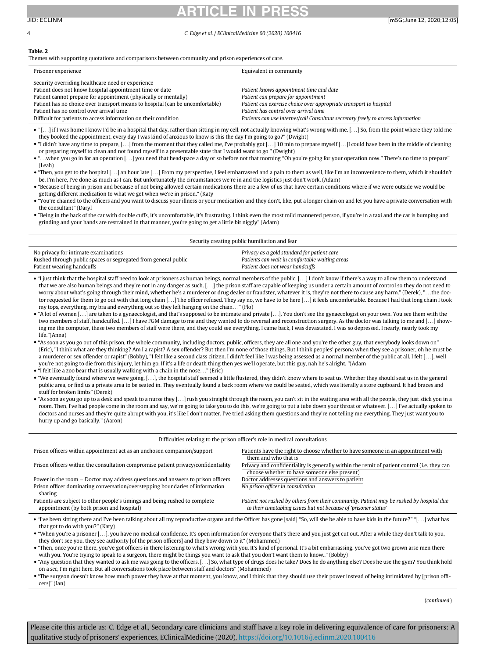### 4 C. Edge et al. / EClinicalMedicine 00 (2020) 100416

### <span id="page-3-0"></span>Table. 2

Themes with supporting quotations and comparisons between community and prison experiences of care.

| Prisoner experience                                                                                                                                                                                                                                                                                                                                                             | Equivalent in community                                                                                                                                                                                                                                                           |
|---------------------------------------------------------------------------------------------------------------------------------------------------------------------------------------------------------------------------------------------------------------------------------------------------------------------------------------------------------------------------------|-----------------------------------------------------------------------------------------------------------------------------------------------------------------------------------------------------------------------------------------------------------------------------------|
| Security overriding healthcare need or experience<br>Patient does not know hospital appointment time or date<br>Patient cannot prepare for appointment (physically or mentally)<br>Patient has no choice over transport means to hospital (can be uncomfortable)<br>Patient has no control over arrival time<br>Difficult for patients to access information on their condition | Patient knows appointment time and date<br>Patient can prepare for appointment<br>Patient can exercise choice over appropriate transport to hospital<br>Patient has control over arrival time<br>Patients can use internet/call Consultant secretary freely to access information |

• "[...] if I was home I know I'd be in a hospital that day, rather than sitting in my cell, not actually knowing what's wrong with me. [...] So, from the point where they told me they booked the appointment, every day I was kind of anxious to know is this the day I'm going to go?" (Dwight)

- "I didn't have any time to prepare, [...] from the moment that they called me, I've probably got [...] 10 min to prepare myself [...] I could have been in the middle of cleaning or preparing myself to clean and not found myself in a presentable state that I would want to go " (Dwight)
- "...when you go in for an operation [...] you need that headspace a day or so before not that morning "Oh you're going for your operation now." There's no time to prepare" (Leah)
- "Then, you get to the hospital [...] an hour late [...] From my perspective, I feel embarrassed and a pain to them as well, like I'm an inconvenience to them, which it shouldn't be. I'm here, I've done as much as I can. But unfortunately the circumstances we're in and the logistics just don't work. (Adam)
- "Because of being in prison and because of not being allowed certain medications there are a few of us that have certain conditions where if we were outside we would be getting different medication to what we get when we're in prison." (Katy
- "You're chained to the officers and you want to discuss your illness or your medication and they don't, like, put a longer chain on and let you have a private conversation with the consultant" (Daryl
- "Being in the back of the car with double cuffs, it's uncomfortable, it's frustrating. I think even the most mild mannered person, if you're in a taxi and the car is bumping and grinding and your hands are restrained in that manner, you're going to get a little bit niggly" (Adam)

| No privacy for intimate examinations<br>Privacy as a gold standard for patient care<br>Patients can wait in comfortable waiting areas<br>Rushed through public spaces or segregated from general public<br>Patient does not wear handcuffs<br>Patient wearing handcuffs | Security creating public humiliation and fear |  |  |  |
|-------------------------------------------------------------------------------------------------------------------------------------------------------------------------------------------------------------------------------------------------------------------------|-----------------------------------------------|--|--|--|
|                                                                                                                                                                                                                                                                         |                                               |  |  |  |

- "I just think that the hospital staff need to look at prisoners as human beings, normal members of the public. [...] I don't know if there's a way to allow them to understand that we are also human beings and they're not in any danger as such. [...] the prison staff are capable of keeping us under a certain amount of control so they do not need to worry about what's going through their mind, whether he's a murderer or drug dealer or fraudster, whatever it is, they're not there to cause any harm." (Derek), "...the doctor requested for them to go out with that long chain [...] The officer refused. They say no, we have to be here [...] it feels uncomfortable. Because I had that long chain I took my tops, everything, my bra and everything out so they left hanging on the chain..." (Flo)
- "A lot of women [...] are taken to a gynaecologist, and that's supposed to be intimate and private [...]. You don't see the gynaecologist on your own. You see them with the two members of staff, handcuffed. [...] I have FGM damage to me and they wanted to do reversal and reconstruction surgery. As the doctor was talking to me and [...] showing me the computer, these two members of staff were there, and they could see everything. I came back, I was devastated. I was so depressed. I nearly, nearly took my life."(Anna)
- "As soon as you go out of this prison, the whole community, including doctors, public, officers, they are all one and you're the other guy, that everybody looks down on" (Eric), "I think what are they thinking? Am I a rapist? A sex offender? But then I'm none of those things. But I think peoples' persona when they see a prisoner, oh he must be a murderer or sex offender or rapist" (Bobby), "I felt like a second class citizen. I didn't feel like I was being assessed as a normal member of the public at all. I felt [...], well you're not going to die from this injury, let him go. If it's a life or death thing then yes we'll operate, but this guy, nah he's alright. "(Adam
- "I felt like a zoo bear that is usually walking with a chain in the nose..." (Eric)
- "We eventually found where we were going, [...], the hospital staff seemed a little flustered, they didn't know where to seat us. Whether they should seat us in the general public area, or find us a private area to be seated in. They eventually found a back room where we could be seated, which was literally a store cupboard. It had braces and stuff for broken limbs" (Derek)
- "As soon as you go up to a desk and speak to a nurse they [...] rush you straight through the room, you can't sit in the waiting area with all the people, they just stick you in a room. Then, I've had people come in the room and say, we're going to take you to do this, we're going to put a tube down your throat or whatever. [...] I've actually spoken to doctors and nurses and they're quite abrupt with you, it's like I don't matter. I've tried asking them questions and they're not telling me everything. They just want you to hurry up and go basically." (Aaron)

| Difficulties relating to the prison officer's role in medical consultations                                                                                                           |                                                                                                                                                              |  |  |
|---------------------------------------------------------------------------------------------------------------------------------------------------------------------------------------|--------------------------------------------------------------------------------------------------------------------------------------------------------------|--|--|
| Prison officers within appointment act as an unchosen companion/support                                                                                                               | Patients have the right to choose whether to have someone in an appointment with<br>them and who that is                                                     |  |  |
| Prison officers within the consultation compromise patient privacy/confidentiality                                                                                                    | Privacy and confidentiality is generally within the remit of patient control (i.e. they can<br>choose whether to have someone else present)                  |  |  |
| Power in the room – Doctor may address questions and answers to prison officers                                                                                                       | Doctor addresses questions and answers to patient                                                                                                            |  |  |
| Prison officer dominating conversation/overstepping boundaries of information<br>sharing                                                                                              | No prison officer in consultation                                                                                                                            |  |  |
| Patients are subject to other people's timings and being rushed to complete<br>appointment (by both prison and hospital)                                                              | Patient not rushed by others from their community. Patient may be rushed by hospital due<br>to their timetabling issues but not because of 'prisoner status' |  |  |
| • "I've been sitting there and I've been talking about all my reproductive ergans and the Officer bas gone [said] "So, will she be able to baye kids in the future?" "[<br>l what has |                                                                                                                                                              |  |  |

"Iking about all my reproductive organs and the Officer has gone [said] "So, will she be able to have kids in the future? that got to do with you?" (Katy)

 "When you're a prisoner [...], you have no medical confidence. It's open information for everyone that's there and you just get cut out. After a while they don't talk to you, they don't see you, they see authority [of the prison officers] and they bow down to it" (Mohammed)

 "Then, once you're there, you've got officers in there listening to what's wrong with you. It's kind of personal. It's a bit embarrassing, you've got two grown arse men there with you. You're trying to speak to a surgeon, there might be things you want to ask that you don't want them to know.." (Bobby)

 "Any question that they wanted to ask me was going to the officers. [...] So, what type of drugs does he take? Does he do anything else? Does he use the gym? You think hold on a sec, I'm right here. But all conversations took place between staff and doctors" (Mohammed)

 "The surgeon doesn't know how much power they have at that moment, you know, and I think that they should use their power instead of being intimidated by [prison officers]" (Ian)

(continued)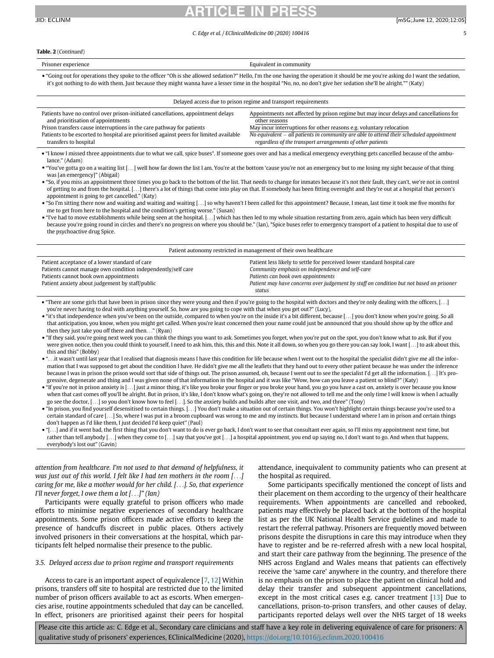### ARTICLE IN PRESS JID: ECLINM [m5G;June 12, 2020;12:05]

### C. Edge et al. / EClinicalMedicine 00 (2020) 100416 5

### Table. 2 (Continued)

Prisoner experience **Equivalent in community Equivalent in community**  "Going out for operations they spoke to the officer "Oh is she allowed sedation?" Hello, I'm the one having the operation it should be me you're asking do I want the sedation, it's got nothing to do with them. Just because they might wanna have a lesser time in the hospital "No, no, no don't give her sedation she'll be alright."" (Katy)

| Delayed access due to prison regime and transport requirements                          |                                                                                            |  |  |
|-----------------------------------------------------------------------------------------|--------------------------------------------------------------------------------------------|--|--|
| Patients have no control over prison-initiated cancellations, appointment delays        | Appointments not affected by prison regime but may incur delays and cancellations for      |  |  |
| and prioritisation of appointments                                                      | other reasons                                                                              |  |  |
| Prison transfers cause interruptions in the care pathway for patients                   | May incur interruptions for other reasons e.g. voluntary relocation                        |  |  |
| Patients to be escorted to hospital are prioritised against peers for limited available | No equivalent $-$ all patients in community are able to attend their scheduled appointment |  |  |
| transfers to hospital                                                                   | regardless of the transport arrangements of other patients                                 |  |  |

 "I know I missed three appointments due to what we call, spice buses\*. If someone goes over and has a medical emergency everything gets cancelled because of the ambulance." (Adam)

 "You've gotta go on a waiting list [...] well how far down the list I am. You're at the bottom 'cause you're not an emergency but to me losing my sight because of that thing was [an emergency]" (Abigail)

- "So, if you miss an appointment three times you go back to the bottom of the list. That needs to change for inmates because it's not their fault, they can't, we're not in control of getting to and from the hospital. [...] there's a lot of things that come into play on that. If somebody has been fitting overnight and they're out at a hospital that person's appointment is going to get cancelled." (Katy)
- "So I'm sitting there now and waiting and waiting and waiting [...] so why haven't I been called for this appointment? Because, I mean, last time it took me five months for me to get from here to the hospital and the condition's getting worse." (Susan)
- "I've had to move establishments while being seen at the hospital. [...] which has then led to my whole situation restarting from zero, again which has been very difficult because you're going round in circles and there's no progress on where you should be." (Ian), \*Spice buses refer to emergency transport of a patient to hospital due to use of the psychoactive drug Spice.

| Patient autonomy restricted in management of their own healthcare                                                                                                                                          |                                                                                                                                                                                                                                                                          |  |  |
|------------------------------------------------------------------------------------------------------------------------------------------------------------------------------------------------------------|--------------------------------------------------------------------------------------------------------------------------------------------------------------------------------------------------------------------------------------------------------------------------|--|--|
| Patient acceptance of a lower standard of care<br>Patients cannot manage own condition independently/self care<br>Patients cannot book own appointments<br>Patient anxiety about judgement by staff/public | Patient less likely to settle for perceived lower standard hospital care<br>Community emphasis on independence and self-care<br>Patients can book own appointments<br>Patient may have concerns over judgement by staff on condition but not based on prisoner<br>status |  |  |

 "There are some girls that have been in prison since they were young and then if you're going to the hospital with doctors and they're only dealing with the officers, [...] you're never having to deal with anything yourself. So, how are you going to cope with that when you get out?" (Lucy),

- "it's that independence when you've been on the outside, compared to when you're on the inside it's a bit different, because [...] you don't know when you're going. So all that anticipation, you know, when you might get called. When you're least concerned then your name could just be announced that you should show up by the office and then they just take you off there and then..." (Ryan)
- "If they said, you're going next week you can think the things you want to ask. Sometimes you forget, when you're put on the spot, you don't know what to ask. But if you were given notice, then you could think to yourself, I need to ask him, this, this and this. Note it all down, so when you go there you can say look, I want [...] to ask about this, this and this" (Bobby)
- ..it wasn't until last year that I realised that diagnosis means I have this condition for life because when I went out to the hospital the specialist didn't give me all the information that I was supposed to get about the condition I have. He didn't give me all the leaflets that they hand out to every other patient because he was under the inference because I was in prison the prison would sort that side of things out. The prison assumed, oh, because I went out to see the specialist I'd get all the information. [...] It's progressive, degenerate and thing and I was given none of that information in the hospital and it was like "Wow, how can you leave a patient so blind?" (Katy)
- "If you're not in prison anxiety is [...] just a minor thing, it's like you broke your finger or you broke your hand, you go you have a cast on, anxiety is over because you know when that cast comes off you'll be alright. But in prison, it's like, I don't know what's going on, they're not allowed to tell me and the only time I will know is when I actually go see the doctor, [...] so you don't know how to feel [...]. So the anxiety builds and builds after one visit, and two, and three" (Tony)
- "In prison, you find yourself desensitised to certain things. [...] You don't make a situation out of certain things. You won't highlight certain things because you're used to a certain standard of care [...] So, where I was put in a broom cupboard was wrong to me and my instincts. But because I understand where I am in prison and certain things don't happen as I'd like them, I just decided I'd keep quiet" (Paul)
- "[...] and if it went bad, the first thing that you don't want to do is ever go back, I don't want to see that consultant ever again, so I'll miss my appointment next time, but rather than tell anybody [...] when they come to [...] say that you've got [...] a hospital appointment, you end up saying no, I don't want to go. And when that happens, everybody's lost out" (Gavin)

attention from healthcare. I'm not used to that demand of helpfulness, it was just out of this world. I felt like I had ten mothers in the room [...] caring for me, like a mother would for her child. [...]. So, that experience I'll never forget, I owe them a lot  $[...]$ " (Ian)

Participants were equally grateful to prison officers who made efforts to minimise negative experiences of secondary healthcare appointments. Some prison officers made active efforts to keep the presence of handcuffs discreet in public places. Others actively involved prisoners in their conversations at the hospital, which participants felt helped normalise their presence to the public.

### 3.5. Delayed access due to prison regime and transport requirements

Access to care is an important aspect of equivalence [[7](#page-8-6), [12](#page-8-12)] Within prisons, transfers off site to hospital are restricted due to the limited number of prison officers available to act as escorts. When emergencies arise, routine appointments scheduled that day can be cancelled. In effect, prisoners are prioritised against their peers for hospital attendance, inequivalent to community patients who can present at the hospital as required.

Some participants specifically mentioned the concept of lists and their placement on them according to the urgency of their healthcare requirements. When appointments are cancelled and rebooked, patients may effectively be placed back at the bottom of the hospital list as per the UK National Health Service guidelines and made to restart the referral pathway. Prisoners are frequently moved between prisons despite the disruptions in care this may introduce when they have to register and be re-referred afresh with a new local hospital, and start their care pathway from the beginning. The presence of the NHS across England and Wales means that patients can effectively receive the 'same care' anywhere in the country, and therefore there is no emphasis on the prison to place the patient on clinical hold and delay their transfer and subsequent appointment cancellations, except in the most critical cases e.g. cancer treatment [[13](#page-8-13)] Due to cancellations, prison-to-prison transfers, and other causes of delay, participants reported delays well over the NHS target of 18 weeks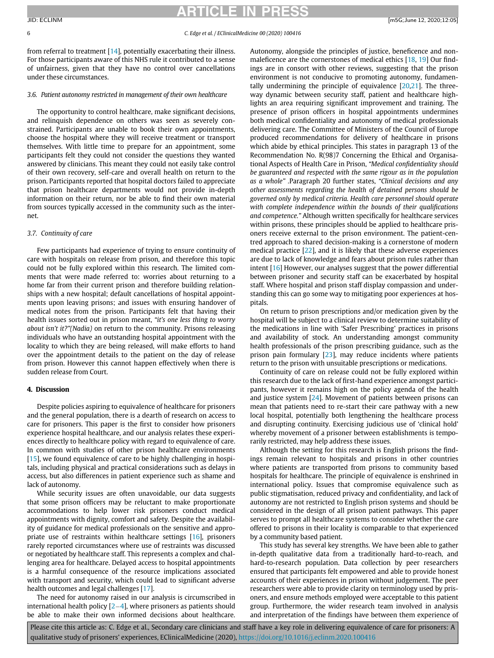#### 6 C. Edge et al. / EClinicalMedicine 00 (2020) 100416

from referral to treatment [[14\]](#page-8-14), potentially exacerbating their illness. For those participants aware of this NHS rule it contributed to a sense of unfairness, given that they have no control over cancellations under these circumstances.

### 3.6. Patient autonomy restricted in management of their own healthcare

The opportunity to control healthcare, make significant decisions, and relinquish dependence on others was seen as severely constrained. Participants are unable to book their own appointments, choose the hospital where they will receive treatment or transport themselves. With little time to prepare for an appointment, some participants felt they could not consider the questions they wanted answered by clinicians. This meant they could not easily take control of their own recovery, self-care and overall health on return to the prison. Participants reported that hospital doctors failed to appreciate that prison healthcare departments would not provide in-depth information on their return, nor be able to find their own material from sources typically accessed in the community such as the internet.

### 3.7. Continuity of care

Few participants had experience of trying to ensure continuity of care with hospitals on release from prison, and therefore this topic could not be fully explored within this research. The limited comments that were made referred to: worries about returning to a home far from their current prison and therefore building relationships with a new hospital; default cancellations of hospital appointments upon leaving prisons; and issues with ensuring handover of medical notes from the prison. Participants felt that having their health issues sorted out in prison meant, "it's one less thing to worry about isn't it?"(Nadia) on return to the community. Prisons releasing individuals who have an outstanding hospital appointment with the locality to which they are being released, will make efforts to hand over the appointment details to the patient on the day of release from prison. However this cannot happen effectively when there is sudden release from Court.

### 4. Discussion

Despite policies aspiring to equivalence of healthcare for prisoners and the general population, there is a dearth of research on access to care for prisoners. This paper is the first to consider how prisoners experience hospital healthcare, and our analysis relates these experiences directly to healthcare policy with regard to equivalence of care. In common with studies of other prison healthcare environments [[15\]](#page-8-15), we found equivalence of care to be highly challenging in hospitals, including physical and practical considerations such as delays in access, but also differences in patient experience such as shame and lack of autonomy.

While security issues are often unavoidable, our data suggests that some prison officers may be reluctant to make proportionate accommodations to help lower risk prisoners conduct medical appointments with dignity, comfort and safety. Despite the availability of guidance for medical professionals on the sensitive and appropriate use of restraints within healthcare settings [[16\]](#page-8-16), prisoners rarely reported circumstances where use of restraints was discussed or negotiated by healthcare staff. This represents a complex and challenging area for healthcare. Delayed access to hospital appointments is a harmful consequence of the resource implications associated with transport and security, which could lead to significant adverse health outcomes and legal challenges [\[17\]](#page-8-17).

The need for autonomy raised in our analysis is circumscribed in international health policy  $[2-4]$  $[2-4]$  $[2-4]$ , where prisoners as patients should be able to make their own informed decisions about healthcare.

Autonomy, alongside the principles of justice, beneficence and nonmaleficence are the cornerstones of medical ethics [[18,](#page-8-18) [19\]](#page-8-19) Our findings are in consort with other reviews, suggesting that the prison environment is not conducive to promoting autonomy, fundamentally undermining the principle of equivalence [[20,](#page-8-20)[21\]](#page-8-21). The threeway dynamic between security staff, patient and healthcare highlights an area requiring significant improvement and training. The presence of prison officers in hospital appointments undermines both medical confidentiality and autonomy of medical professionals delivering care. The Committee of Ministers of the Council of Europe produced recommendations for delivery of healthcare in prisons which abide by ethical principles. This states in paragraph 13 of the Recommendation No. R(98)7 Concerning the Ethical and Organisational Aspects of Health Care in Prison, "Medical confidentiality should be guaranteed and respected with the same rigour as in the population as a whole" .Paragraph 20 further states, "Clinical decisions and any other assessments regarding the health of detained persons should be governed only by medical criteria. Health care personnel should operate with complete independence within the bounds of their qualifications and competence." Although written specifically for healthcare services within prisons, these principles should be applied to healthcare prisoners receive external to the prison environment. The patient-centred approach to shared decision-making is a cornerstone of modern medical practice [\[22\]](#page-8-22), and it is likely that these adverse experiences are due to lack of knowledge and fears about prison rules rather than intent [[16\]](#page-8-16) However, our analyses suggest that the power differential between prisoner and security staff can be exacerbated by hospital staff. Where hospital and prison staff display compassion and understanding this can go some way to mitigating poor experiences at hospitals.

On return to prison prescriptions and/or medication given by the hospital will be subject to a clinical review to determine suitability of the medications in line with 'Safer Prescribing' practices in prisons and availability of stock. An understanding amongst community health professionals of the prison prescribing guidance, such as the prison pain formulary [\[23](#page-8-23)], may reduce incidents where patients return to the prison with unsuitable prescriptions or medications.

Continuity of care on release could not be fully explored within this research due to the lack of first-hand experience amongst participants, however it remains high on the policy agenda of the health and justice system  $[24]$  $[24]$ . Movement of patients between prisons can mean that patients need to re-start their care pathway with a new local hospital, potentially both lengthening the healthcare process and disrupting continuity. Exercising judicious use of 'clinical hold' whereby movement of a prisoner between establishments is temporarily restricted, may help address these issues.

Although the setting for this research is English prisons the findings remain relevant to hospitals and prisons in other countries where patients are transported from prisons to community based hospitals for healthcare. The principle of equivalence is enshrined in international policy. Issues that compromise equivalence such as public stigmatisation, reduced privacy and confidentiality, and lack of autonomy are not restricted to English prison systems and should be considered in the design of all prison patient pathways. This paper serves to prompt all healthcare systems to consider whether the care offered to prisons in their locality is comparable to that experienced by a community based patient.

This study has several key strengths. We have been able to gather in-depth qualitative data from a traditionally hard-to-reach, and hard-to-research population. Data collection by peer researchers ensured that participants felt empowered and able to provide honest accounts of their experiences in prison without judgement. The peer researchers were able to provide clarity on terminology used by prisoners, and ensure methods employed were acceptable to this patient group. Furthermore, the wider research team involved in analysis and interpretation of the findings have between them experience of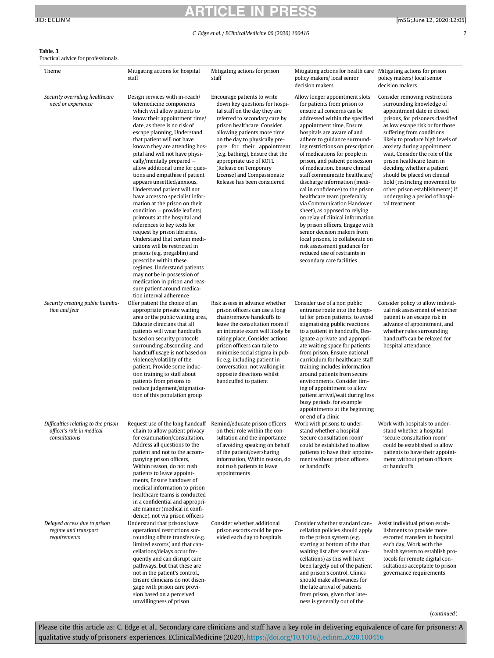### ARTICLE IN PRESS JID: ECLINM [m5G;June 12, 2020;12:05]

### <span id="page-6-0"></span>Table. 3

edvice for professionals.<br>I

| Theme                                                                             | Mitigating actions for hospital<br>staff                                                                                                                                                                                                                                                                                                                                                                                                                                                                                                                                                                                                                                                                                                                                                                                                                                                                                                                | Mitigating actions for prison<br>staff                                                                                                                                                                                                                                                                                                                                                                          | Mitigating actions for health care Mitigating actions for prison<br>policy makers/local senior<br>decision makers                                                                                                                                                                                                                                                                                                                                                                                                                                                                                                                                                                                                                                                                                         | policy makers/local senior<br>decision makers                                                                                                                                                                                                                                                                                                                                                                                                                                                                      |
|-----------------------------------------------------------------------------------|---------------------------------------------------------------------------------------------------------------------------------------------------------------------------------------------------------------------------------------------------------------------------------------------------------------------------------------------------------------------------------------------------------------------------------------------------------------------------------------------------------------------------------------------------------------------------------------------------------------------------------------------------------------------------------------------------------------------------------------------------------------------------------------------------------------------------------------------------------------------------------------------------------------------------------------------------------|-----------------------------------------------------------------------------------------------------------------------------------------------------------------------------------------------------------------------------------------------------------------------------------------------------------------------------------------------------------------------------------------------------------------|-----------------------------------------------------------------------------------------------------------------------------------------------------------------------------------------------------------------------------------------------------------------------------------------------------------------------------------------------------------------------------------------------------------------------------------------------------------------------------------------------------------------------------------------------------------------------------------------------------------------------------------------------------------------------------------------------------------------------------------------------------------------------------------------------------------|--------------------------------------------------------------------------------------------------------------------------------------------------------------------------------------------------------------------------------------------------------------------------------------------------------------------------------------------------------------------------------------------------------------------------------------------------------------------------------------------------------------------|
| Security overriding healthcare<br>need or experience                              | Design services with in-reach/<br>telemedicine components<br>which will allow patients to<br>know their appointment time/<br>date, as there is no risk of<br>escape planning, Understand<br>that patient will not have<br>known they are attending hos-<br>pital and will not have physi-<br>cally/mentally prepared $-$<br>allow additional time for ques-<br>tions and empathise if patient<br>appears unsettled/anxious,<br>Understand patient will not<br>have access to specialist infor-<br>mation at the prison on their<br>condition – provide leaflets/<br>printouts at the hospital and<br>references to key texts for<br>request by prison libraries,<br>Understand that certain medi-<br>cations will be restricted in<br>prisons (e.g. pregablin) and<br>prescribe within these<br>regimes, Understand patients<br>may not be in possession of<br>medication in prison and reas-<br>sure patient around medica-<br>tion interval adherence | Encourage patients to write<br>down key questions for hospi-<br>tal staff on the day they are<br>referred to secondary care by<br>prison healthcare, Consider<br>allowing patients more time<br>on the day to physically pre-<br>pare for their appointment<br>(e.g. bathing), Ensure that the<br>appropriate use of ROTL<br>(Release on Temporary<br>License) and Compassionate<br>Release has been considered | Allow longer appointment slots<br>for patients from prison to<br>ensure all concerns can be<br>addressed within the specified<br>appointment time, Ensure<br>hospitals are aware of and<br>adhere to guidance surround-<br>ing restrictions on prescription<br>of medications for people in<br>prison, and patient possession<br>of medication. Ensure clinical<br>staff communicate healthcare/<br>discharge information (medi-<br>cal in confidence) to the prison<br>healthcare team (preferably<br>via Communication Handover<br>sheet), as opposed to relying<br>on relay of clinical information<br>by prison officers, Engage with<br>senior decision makers from<br>local prisons, to collaborate on<br>risk assessment guidance for<br>reduced use of restraints in<br>secondary care facilities | Consider removing restrictions<br>surrounding knowledge of<br>appointment date in closed<br>prisons, for prisoners classified<br>as low escape risk or for those<br>suffering from conditions<br>likely to produce high levels of<br>anxiety during appointment<br>wait, Consider the role of the<br>prison healthcare team in<br>deciding whether a patient<br>should be placed on clinical<br>hold (restricting movement to<br>other prison establishments) if<br>undergoing a period of hospi-<br>tal treatment |
| Security creating public humilia-<br>tion and fear                                | Offer patient the choice of an<br>appropriate private waiting<br>area or the public waiting area,<br>Educate clinicians that all<br>patients will wear handcuffs<br>based on security protocols<br>surrounding absconding, and<br>handcuff usage is not based on<br>violence/volatility of the<br>patient, Provide some induc-<br>tion training to staff about<br>patients from prisons to<br>reduce judgement/stigmatisa-<br>tion of this population group                                                                                                                                                                                                                                                                                                                                                                                                                                                                                             | Risk assess in advance whether<br>prison officers can use a long<br>chain/remove handcuffs to<br>leave the consultation room if<br>an intimate exam will likely be<br>taking place, Consider actions<br>prison officers can take to<br>minimise social stigma in pub-<br>lic e.g. including patient in<br>conversation, not walking in<br>opposite directions whilst<br>handcuffed to patient                   | Consider use of a non public<br>entrance route into the hospi-<br>tal for prison patients, to avoid<br>stigmatising public reactions<br>to a patient in handcuffs, Des-<br>ignate a private and appropri-<br>ate waiting space for patients<br>from prison, Ensure national<br>curriculum for healthcare staff<br>training includes information<br>around patients from secure<br>environments, Consider tim-<br>ing of appointment to allow<br>patient arrival/wait during less<br>busy periods, for example<br>appointments at the beginning<br>or end of a clinic                                                                                                                                                                                                                                      | Consider policy to allow individ-<br>ual risk assessment of whether<br>patient is an escape risk in<br>advance of appointment, and<br>whether rules surrounding<br>handcuffs can be relaxed for<br>hospital attendance                                                                                                                                                                                                                                                                                             |
| Difficulties relating to the prison<br>officer's role in medical<br>consultations | Request use of the long handcuff Remind/educate prison officers<br>for examination/consultation,<br>Address all questions to the<br>patient and not to the accom-<br>panying prison officers,<br>Within reason, do not rush<br>patients to leave appoint-<br>ments, Ensure handover of<br>medical information to prison<br>healthcare teams is conducted<br>in a confidential and appropri-<br>ate manner (medical in confi-<br>dence), not via prison officers                                                                                                                                                                                                                                                                                                                                                                                                                                                                                         | chain to allow patient privacy on their role within the con-<br>sultation and the importance<br>of avoiding speaking on behalf<br>of the patient/oversharing<br>information, Within reason, do<br>not rush patients to leave<br>appointments                                                                                                                                                                    | Work with prisons to under-<br>stand whether a hospital<br>'secure consultation room'<br>could be established to allow<br>patients to have their appoint-<br>ment without prison officers<br>or handcuffs                                                                                                                                                                                                                                                                                                                                                                                                                                                                                                                                                                                                 | Work with hospitals to under-<br>stand whether a hospital<br>'secure consultation room'<br>could be established to allow<br>patients to have their appoint-<br>ment without prison officers<br>or handcuffs                                                                                                                                                                                                                                                                                                        |
| Delayed access due to prison<br>regime and transport<br>requirements              | Understand that prisons have<br>operational restrictions sur-<br>rounding offsite transfers (e.g.<br>limited escorts) and that can-<br>cellations/delays occur fre-<br>quently and can disrupt care<br>pathways, but that these are<br>not in the patient's control.,<br>Ensure clinicians do not disen-<br>gage with prison care provi-<br>sion based on a perceived<br>unwillingness of prison                                                                                                                                                                                                                                                                                                                                                                                                                                                                                                                                                        | Consider whether additional<br>prison escorts could be pro-<br>vided each day to hospitals                                                                                                                                                                                                                                                                                                                      | Consider whether standard can-<br>cellation policies should apply<br>to the prison system (e.g.<br>starting at bottom of the that<br>waiting list after several can-<br>cellations) as this will have<br>been largely out of the patient<br>and prison's control, Clinics<br>should make allowances for<br>the late arrival of patients<br>from prison, given that late-<br>ness is generally out of the                                                                                                                                                                                                                                                                                                                                                                                                  | Assist individual prison estab-<br>lishments to provide more<br>escorted transfers to hospital<br>each day, Work with the<br>health system to establish pro-<br>tocols for remote digital con-<br>sultations acceptable to prison<br>governance requirements                                                                                                                                                                                                                                                       |

(continued)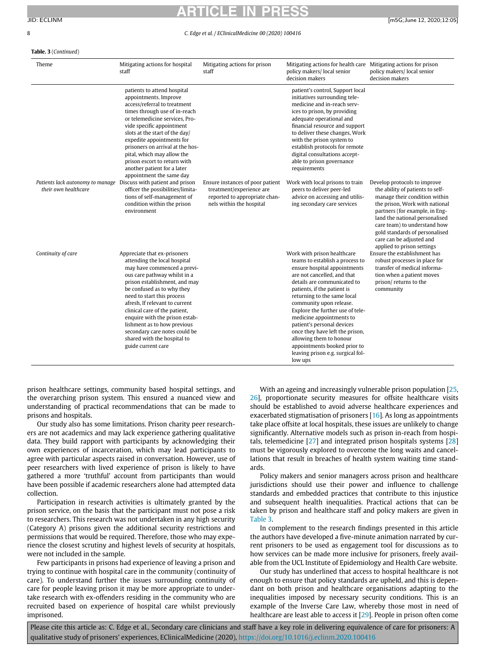#### 8 C. Edge et al. / EClinicalMedicine 00 (2020) 100416

### Table. 3 (Continued)

| Theme                                                    | Mitigating actions for hospital<br>staff                                                                                                                                                                                                                                                                                                                                                                                                           | Mitigating actions for prison<br>staff                                                                                    | Mitigating actions for health care<br>policy makers/local senior<br>decision makers                                                                                                                                                                                                                                                                                                                                                                                                               | Mitigating actions for prison<br>policy makers/local senior<br>decision makers                                                                                                                                                                                                                                                      |
|----------------------------------------------------------|----------------------------------------------------------------------------------------------------------------------------------------------------------------------------------------------------------------------------------------------------------------------------------------------------------------------------------------------------------------------------------------------------------------------------------------------------|---------------------------------------------------------------------------------------------------------------------------|---------------------------------------------------------------------------------------------------------------------------------------------------------------------------------------------------------------------------------------------------------------------------------------------------------------------------------------------------------------------------------------------------------------------------------------------------------------------------------------------------|-------------------------------------------------------------------------------------------------------------------------------------------------------------------------------------------------------------------------------------------------------------------------------------------------------------------------------------|
|                                                          | patients to attend hospital<br>appointments. Improve<br>access/referral to treatment<br>times through use of in-reach<br>or telemedicine services. Pro-<br>vide specific appointment<br>slots at the start of the day/<br>expedite appointments for<br>prisoners on arrival at the hos-<br>pital, which may allow the<br>prison escort to return with<br>another patient for a later<br>appointment the same day                                   |                                                                                                                           | patient's control, Support local<br>initiatives surrounding tele-<br>medicine and in-reach serv-<br>ices to prison, by providing<br>adequate operational and<br>financial resource and support<br>to deliver these changes, Work<br>with the prison system to<br>establish protocols for remote<br>digital consultations accept-<br>able to prison governance<br>requirements                                                                                                                     |                                                                                                                                                                                                                                                                                                                                     |
| Patients lack autonomy to manage<br>their own healthcare | Discuss with patient and prison<br>officer the possibilities/limita-<br>tions of self-management of<br>condition within the prison<br>environment                                                                                                                                                                                                                                                                                                  | Ensure instances of poor patient<br>treatment/experience are<br>reported to appropriate chan-<br>nels within the hospital | Work with local prisons to train<br>peers to deliver peer-led<br>advice on accessing and utilis-<br>ing secondary care services                                                                                                                                                                                                                                                                                                                                                                   | Develop protocols to improve<br>the ability of patients to self-<br>manage their condition within<br>the prison, Work with national<br>partners (for example, in Eng-<br>land the national personalised<br>care team) to understand how<br>gold standards of personalised<br>care can be adjusted and<br>applied to prison settings |
| Continuity of care                                       | Appreciate that ex-prisoners<br>attending the local hospital<br>may have commenced a previ-<br>ous care pathway whilst in a<br>prison establishment, and may<br>be confused as to why they<br>need to start this process<br>afresh. If relevant to current<br>clinical care of the patient,<br>enquire with the prison estab-<br>lishment as to how previous<br>secondary care notes could be<br>shared with the hospital to<br>guide current care |                                                                                                                           | Work with prison healthcare<br>teams to establish a process to<br>ensure hospital appointments<br>are not cancelled, and that<br>details are communicated to<br>patients, if the patient is<br>returning to the same local<br>community upon release.<br>Explore the further use of tele-<br>medicine appointments to<br>patient's personal devices<br>once they have left the prison,<br>allowing them to honour<br>appointments booked prior to<br>leaving prison e.g. surgical fol-<br>low ups | Ensure the establishment has<br>robust processes in place for<br>transfer of medical informa-<br>tion when a patient moves<br>prison/returns to the<br>community                                                                                                                                                                    |

prison healthcare settings, community based hospital settings, and the overarching prison system. This ensured a nuanced view and understanding of practical recommendations that can be made to prisons and hospitals.

Our study also has some limitations. Prison charity peer researchers are not academics and may lack experience gathering qualitative data. They build rapport with participants by acknowledging their own experiences of incarceration, which may lead participants to agree with particular aspects raised in conversation. However, use of peer researchers with lived experience of prison is likely to have gathered a more 'truthful' account from participants than would have been possible if academic researchers alone had attempted data collection.

Participation in research activities is ultimately granted by the prison service, on the basis that the participant must not pose a risk to researchers. This research was not undertaken in any high security (Category A) prisons given the additional security restrictions and permissions that would be required. Therefore, those who may experience the closest scrutiny and highest levels of security at hospitals, were not included in the sample.

Few participants in prisons had experience of leaving a prison and trying to continue with hospital care in the community (continuity of care). To understand further the issues surrounding continuity of care for people leaving prison it may be more appropriate to undertake research with ex-offenders residing in the community who are recruited based on experience of hospital care whilst previously imprisoned.

With an ageing and increasingly vulnerable prison population [[25,](#page-8-25) [26\]](#page-8-26), proportionate security measures for offsite healthcare visits should be established to avoid adverse healthcare experiences and exacerbated stigmatisation of prisoners [[16\]](#page-8-16). As long as appointments take place offsite at local hospitals, these issues are unlikely to change significantly. Alternative models such as prison in-reach from hospitals, telemedicine [\[27](#page-8-27)] and integrated prison hospitals systems [[28\]](#page-8-28) must be vigorously explored to overcome the long waits and cancellations that result in breaches of health system waiting time standards.

Policy makers and senior managers across prison and healthcare jurisdictions should use their power and influence to challenge standards and embedded practices that contribute to this injustice and subsequent health inequalities. Practical actions that can be taken by prison and healthcare staff and policy makers are given in [Table 3.](#page-6-0)

In complement to the research findings presented in this article the authors have developed a five-minute animation narrated by current prisoners to be used as engagement tool for discussions as to how services can be made more inclusive for prisoners, freely available from the UCL Institute of Epidemiology and Health Care website.

Our study has underlined that access to hospital healthcare is not enough to ensure that policy standards are upheld, and this is dependant on both prison and healthcare organisations adapting to the inequalities imposed by necessary security conditions. This is an example of the Inverse Care Law, whereby those most in need of healthcare are least able to access it [[29\]](#page-8-29). People in prison often come